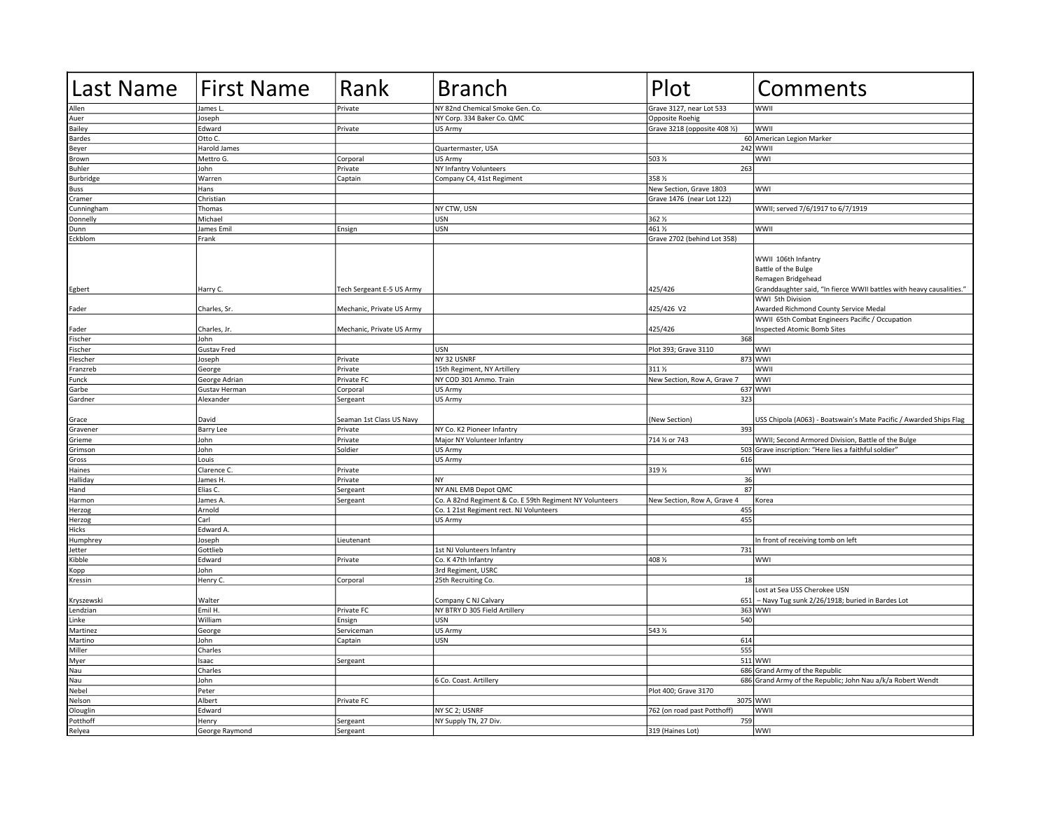| <b>Last Name</b> | <b>First Name</b> | Rank                      | <b>Branch</b>                                           | Plot                        | Comments                                                                        |
|------------------|-------------------|---------------------------|---------------------------------------------------------|-----------------------------|---------------------------------------------------------------------------------|
| Allen            | James L           | Private                   | NY 82nd Chemical Smoke Gen. Co.                         | Grave 3127, near Lot 533    | WWII                                                                            |
| Auer             | Joseph            |                           | NY Corp. 334 Baker Co. QMC                              | Opposite Roehig             |                                                                                 |
| Bailey           | Edward            | Private                   | US Army                                                 | Grave 3218 (opposite 408 %) | WWII                                                                            |
| <b>Bardes</b>    | Otto C.           |                           |                                                         |                             | 60 American Legion Marker                                                       |
| Beyer            | Harold James      |                           | Quartermaster, USA                                      |                             | 242 WWII                                                                        |
| Brown            | Mettro G.         | Corporal                  | US Army                                                 | 503 %                       | WWI                                                                             |
| <b>Buhler</b>    | John              | Private                   | NY Infantry Volunteers                                  | 263                         |                                                                                 |
| Burbridge        | Warren            | Captain                   | Company C4, 41st Regiment                               | 358 %                       |                                                                                 |
| Buss             | Hans              |                           |                                                         | New Section, Grave 1803     | WWI                                                                             |
| Cramer           | Christian         |                           |                                                         | Grave 1476 (near Lot 122)   |                                                                                 |
| Cunningham       | Thomas            |                           | NY CTW, USN                                             |                             | WWII; served 7/6/1917 to 6/7/1919                                               |
| Donnelly         | Michael           |                           | <b>USN</b>                                              | 362 %                       |                                                                                 |
| Dunn             | James Emil        | Ensign                    | <b>USN</b>                                              | 461 %                       | WWII                                                                            |
| Eckblom          | Frank             |                           |                                                         | Grave 2702 (behind Lot 358) |                                                                                 |
|                  |                   |                           |                                                         |                             |                                                                                 |
|                  |                   |                           |                                                         |                             | WWII 106th Infantry<br>Battle of the Bulge<br>Remagen Bridgehead                |
| Egbert           | Harry C.          | Tech Sergeant E-5 US Army |                                                         | 425/426                     | Granddaughter said, "In fierce WWII battles with heavy causalities."            |
| Fader            | Charles, Sr.      | Mechanic, Private US Army |                                                         | 425/426 V2                  | WWI 5th Division<br>Awarded Richmond County Service Medal                       |
|                  |                   |                           |                                                         |                             | WWII 65th Combat Engineers Pacific / Occupation                                 |
| Fader            | Charles, Jr.      | Mechanic, Private US Army |                                                         | 425/426                     | <b>Inspected Atomic Bomb Sites</b>                                              |
| Fischer          | John              |                           |                                                         | 368                         |                                                                                 |
| Fischer          | Gustav Fred       |                           | USN                                                     | Plot 393; Grave 3110        | WWI                                                                             |
| Flescher         | Joseph            | Private                   | NY 32 USNRF                                             |                             | 873 WWI                                                                         |
| Franzreb         | George            | Private                   | 15th Regiment, NY Artillery                             | 311 %                       | <b>WWII</b>                                                                     |
| Funck            | George Adrian     | Private FC                | NY COD 301 Ammo. Train                                  | New Section, Row A, Grave 7 | WWI                                                                             |
| Garbe            | Gustav Herman     | Corporal                  | US Army                                                 |                             | 637 WWI                                                                         |
| Gardner          | Alexander         | Sergeant                  | US Army                                                 | 323                         |                                                                                 |
| Grace            | David             | Seaman 1st Class US Navy  |                                                         | (New Section)               | USS Chipola (A063) - Boatswain's Mate Pacific / Awarded Ships Flag              |
| Gravener         | <b>Barry Lee</b>  | Private                   | NY Co. K2 Pioneer Infantry                              | 393                         |                                                                                 |
| Grieme           | John              | Private                   | Major NY Volunteer Infantry                             | 714 % or 743                | WWII; Second Armored Division, Battle of the Bulge                              |
| Grimson          | John              | Soldier                   | US Army                                                 |                             | 503 Grave inscription: "Here lies a faithful soldier"                           |
| Gross            | Louis             |                           | US Army                                                 | 616                         |                                                                                 |
| Haines           | Clarence C.       | Private                   |                                                         | 319 %                       | WWI                                                                             |
| Halliday         | James H           | Private                   | INY.                                                    | 36                          |                                                                                 |
| Hand             | Elias C.          | Sergeant                  | NY ANL EMB Depot QMC                                    | 87                          |                                                                                 |
| Harmon           | James A           | Sergeant                  | Co. A 82nd Regiment & Co. E 59th Regiment NY Volunteers | New Section, Row A, Grave 4 | Korea                                                                           |
| Herzog           | Arnold            |                           | Co. 1 21st Regiment rect. NJ Volunteers                 | 455                         |                                                                                 |
| Herzog           | Carl              |                           | US Army                                                 | 455                         |                                                                                 |
| Hicks            | Edward A          |                           |                                                         |                             |                                                                                 |
| Humphrey         | Joseph            | Lieutenant                |                                                         |                             | In front of receiving tomb on left                                              |
| Jetter           | Gottlieb          |                           | 1st NJ Volunteers Infantry                              | 731                         |                                                                                 |
| Kibble           | Edward            | Private                   | Co. K 47th Infantry                                     | 408 %                       | WWI                                                                             |
| Kopp             | John              |                           | 3rd Regiment, USRC                                      |                             |                                                                                 |
| Kressin          | Henry C.          | Corporal                  | 25th Recruiting Co.                                     | 18                          |                                                                                 |
| Kryszewski       | Walter            |                           | Company C NJ Calvary                                    | 651                         | Lost at Sea USS Cherokee USN<br>- Navy Tug sunk 2/26/1918; buried in Bardes Lot |
| Lendzian         | Emil H.           | Private FC                | NY BTRY D 305 Field Artillery                           |                             | 363 WWI                                                                         |
| Linke            | William           | Ensign                    | <b>USN</b>                                              | 540                         |                                                                                 |
| Martinez         | George            | Serviceman                | US Army                                                 | 543 %                       |                                                                                 |
| Martino          | John              | Captain                   | USN                                                     | 614                         |                                                                                 |
| Miller           | Charles           |                           |                                                         | 555                         |                                                                                 |
| Myer             | Isaac             | Sergeant                  |                                                         |                             | 511 WWI                                                                         |
| Nau              | Charles           |                           |                                                         |                             | 686 Grand Army of the Republic                                                  |
| Nau              | John              |                           | 6 Co. Coast. Artillery                                  |                             | 686 Grand Army of the Republic; John Nau a/k/a Robert Wendt                     |
|                  |                   |                           |                                                         |                             |                                                                                 |
| Nebel            | Peter             |                           |                                                         | Plot 400; Grave 3170        |                                                                                 |
| Nelson           | Albert            | Private FC                |                                                         |                             | 3075 WWI                                                                        |
| Olouglin         | Edward            |                           | NY SC 2; USNRF                                          | 762 (on road past Potthoff) | WWII                                                                            |
| Potthoff         | Henry             | Sergeant                  | NY Supply TN, 27 Div.                                   | 759                         |                                                                                 |
| Relyea           | George Raymond    | Sergeant                  |                                                         | 319 (Haines Lot)            | <b>WWI</b>                                                                      |